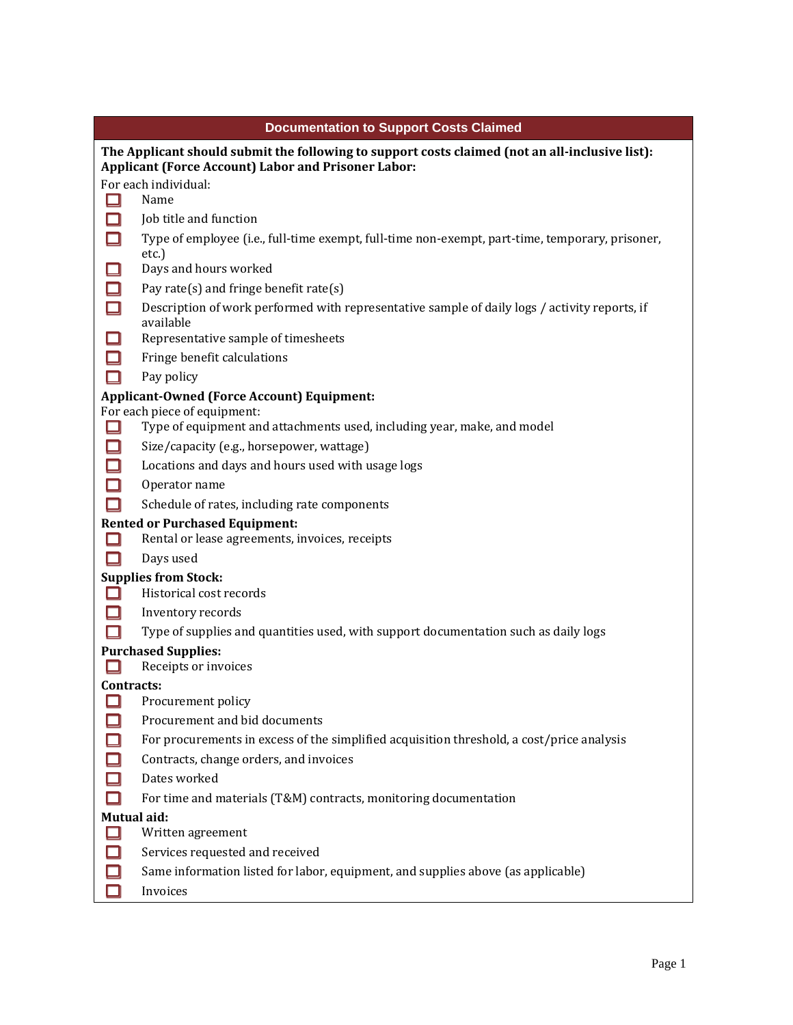| <b>Documentation to Support Costs Claimed</b>                                                                |                                                                                                                                                                                                                                                                                                                                                                                                                                                                                                                                                                                                                                                                                                                                                                                                                                                          |  |
|--------------------------------------------------------------------------------------------------------------|----------------------------------------------------------------------------------------------------------------------------------------------------------------------------------------------------------------------------------------------------------------------------------------------------------------------------------------------------------------------------------------------------------------------------------------------------------------------------------------------------------------------------------------------------------------------------------------------------------------------------------------------------------------------------------------------------------------------------------------------------------------------------------------------------------------------------------------------------------|--|
| The Applicant should submit the following to support costs claimed (not an all-inclusive list):              |                                                                                                                                                                                                                                                                                                                                                                                                                                                                                                                                                                                                                                                                                                                                                                                                                                                          |  |
| <b>Applicant (Force Account) Labor and Prisoner Labor:</b>                                                   |                                                                                                                                                                                                                                                                                                                                                                                                                                                                                                                                                                                                                                                                                                                                                                                                                                                          |  |
|                                                                                                              | For each individual:                                                                                                                                                                                                                                                                                                                                                                                                                                                                                                                                                                                                                                                                                                                                                                                                                                     |  |
| l. II                                                                                                        | Name                                                                                                                                                                                                                                                                                                                                                                                                                                                                                                                                                                                                                                                                                                                                                                                                                                                     |  |
| П                                                                                                            | Job title and function                                                                                                                                                                                                                                                                                                                                                                                                                                                                                                                                                                                                                                                                                                                                                                                                                                   |  |
|                                                                                                              | Type of employee (i.e., full-time exempt, full-time non-exempt, part-time, temporary, prisoner,<br>$etc.$ )                                                                                                                                                                                                                                                                                                                                                                                                                                                                                                                                                                                                                                                                                                                                              |  |
| $\Box$                                                                                                       | Days and hours worked                                                                                                                                                                                                                                                                                                                                                                                                                                                                                                                                                                                                                                                                                                                                                                                                                                    |  |
|                                                                                                              | Pay rate(s) and fringe benefit rate(s)                                                                                                                                                                                                                                                                                                                                                                                                                                                                                                                                                                                                                                                                                                                                                                                                                   |  |
|                                                                                                              | Description of work performed with representative sample of daily logs / activity reports, if<br>available                                                                                                                                                                                                                                                                                                                                                                                                                                                                                                                                                                                                                                                                                                                                               |  |
| $\Box$                                                                                                       | Representative sample of timesheets                                                                                                                                                                                                                                                                                                                                                                                                                                                                                                                                                                                                                                                                                                                                                                                                                      |  |
| $\Box$                                                                                                       | Fringe benefit calculations                                                                                                                                                                                                                                                                                                                                                                                                                                                                                                                                                                                                                                                                                                                                                                                                                              |  |
| □                                                                                                            | Pay policy                                                                                                                                                                                                                                                                                                                                                                                                                                                                                                                                                                                                                                                                                                                                                                                                                                               |  |
| <b>Applicant-Owned (Force Account) Equipment:</b>                                                            |                                                                                                                                                                                                                                                                                                                                                                                                                                                                                                                                                                                                                                                                                                                                                                                                                                                          |  |
|                                                                                                              |                                                                                                                                                                                                                                                                                                                                                                                                                                                                                                                                                                                                                                                                                                                                                                                                                                                          |  |
|                                                                                                              |                                                                                                                                                                                                                                                                                                                                                                                                                                                                                                                                                                                                                                                                                                                                                                                                                                                          |  |
|                                                                                                              |                                                                                                                                                                                                                                                                                                                                                                                                                                                                                                                                                                                                                                                                                                                                                                                                                                                          |  |
|                                                                                                              |                                                                                                                                                                                                                                                                                                                                                                                                                                                                                                                                                                                                                                                                                                                                                                                                                                                          |  |
|                                                                                                              |                                                                                                                                                                                                                                                                                                                                                                                                                                                                                                                                                                                                                                                                                                                                                                                                                                                          |  |
|                                                                                                              |                                                                                                                                                                                                                                                                                                                                                                                                                                                                                                                                                                                                                                                                                                                                                                                                                                                          |  |
|                                                                                                              |                                                                                                                                                                                                                                                                                                                                                                                                                                                                                                                                                                                                                                                                                                                                                                                                                                                          |  |
|                                                                                                              | Days used                                                                                                                                                                                                                                                                                                                                                                                                                                                                                                                                                                                                                                                                                                                                                                                                                                                |  |
| <b>Supplies from Stock:</b>                                                                                  |                                                                                                                                                                                                                                                                                                                                                                                                                                                                                                                                                                                                                                                                                                                                                                                                                                                          |  |
|                                                                                                              | Historical cost records                                                                                                                                                                                                                                                                                                                                                                                                                                                                                                                                                                                                                                                                                                                                                                                                                                  |  |
|                                                                                                              | Inventory records                                                                                                                                                                                                                                                                                                                                                                                                                                                                                                                                                                                                                                                                                                                                                                                                                                        |  |
|                                                                                                              | Type of supplies and quantities used, with support documentation such as daily logs                                                                                                                                                                                                                                                                                                                                                                                                                                                                                                                                                                                                                                                                                                                                                                      |  |
|                                                                                                              | <b>Purchased Supplies:</b>                                                                                                                                                                                                                                                                                                                                                                                                                                                                                                                                                                                                                                                                                                                                                                                                                               |  |
|                                                                                                              |                                                                                                                                                                                                                                                                                                                                                                                                                                                                                                                                                                                                                                                                                                                                                                                                                                                          |  |
|                                                                                                              |                                                                                                                                                                                                                                                                                                                                                                                                                                                                                                                                                                                                                                                                                                                                                                                                                                                          |  |
|                                                                                                              |                                                                                                                                                                                                                                                                                                                                                                                                                                                                                                                                                                                                                                                                                                                                                                                                                                                          |  |
|                                                                                                              |                                                                                                                                                                                                                                                                                                                                                                                                                                                                                                                                                                                                                                                                                                                                                                                                                                                          |  |
|                                                                                                              |                                                                                                                                                                                                                                                                                                                                                                                                                                                                                                                                                                                                                                                                                                                                                                                                                                                          |  |
|                                                                                                              |                                                                                                                                                                                                                                                                                                                                                                                                                                                                                                                                                                                                                                                                                                                                                                                                                                                          |  |
|                                                                                                              |                                                                                                                                                                                                                                                                                                                                                                                                                                                                                                                                                                                                                                                                                                                                                                                                                                                          |  |
|                                                                                                              |                                                                                                                                                                                                                                                                                                                                                                                                                                                                                                                                                                                                                                                                                                                                                                                                                                                          |  |
|                                                                                                              |                                                                                                                                                                                                                                                                                                                                                                                                                                                                                                                                                                                                                                                                                                                                                                                                                                                          |  |
|                                                                                                              |                                                                                                                                                                                                                                                                                                                                                                                                                                                                                                                                                                                                                                                                                                                                                                                                                                                          |  |
|                                                                                                              |                                                                                                                                                                                                                                                                                                                                                                                                                                                                                                                                                                                                                                                                                                                                                                                                                                                          |  |
|                                                                                                              | Invoices                                                                                                                                                                                                                                                                                                                                                                                                                                                                                                                                                                                                                                                                                                                                                                                                                                                 |  |
| 口<br>口<br>❏<br>$\Box$<br>$\Box$<br>$\Box$<br>П<br>00000<br>$\begin{array}{c} \square \\ \square \end{array}$ | For each piece of equipment:<br>Type of equipment and attachments used, including year, make, and model<br>Size/capacity (e.g., horsepower, wattage)<br>Locations and days and hours used with usage logs<br>Operator name<br>Schedule of rates, including rate components<br><b>Rented or Purchased Equipment:</b><br>Rental or lease agreements, invoices, receipts<br>Receipts or invoices<br>Contracts:<br>Procurement policy<br>Procurement and bid documents<br>For procurements in excess of the simplified acquisition threshold, a cost/price analysis<br>Contracts, change orders, and invoices<br>Dates worked<br>For time and materials (T&M) contracts, monitoring documentation<br>Mutual aid:<br>Written agreement<br>Services requested and received<br>Same information listed for labor, equipment, and supplies above (as applicable) |  |